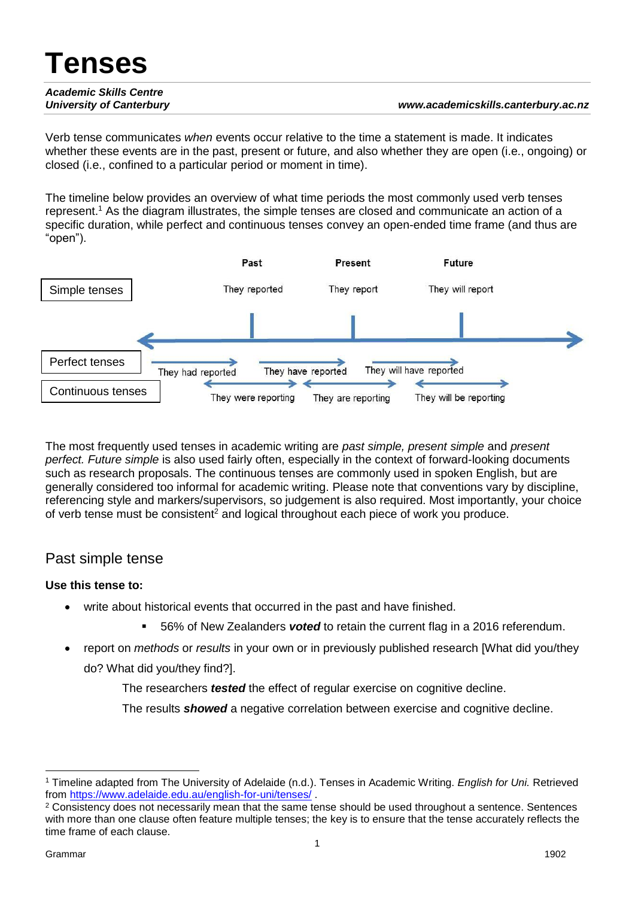# **Tenses** *Academic Skills Centre University of Canterbury www.academicskills.canterbury.ac.nz*

Verb tense communicates *when* events occur relative to the time a statement is made. It indicates whether these events are in the past, present or future, and also whether they are open (i.e., ongoing) or closed (i.e., confined to a particular period or moment in time).

The timeline below provides an overview of what time periods the most commonly used verb tenses represent.<sup>1</sup> As the diagram illustrates, the simple tenses are closed and communicate an action of a specific duration, while perfect and continuous tenses convey an open-ended time frame (and thus are "open").



The most frequently used tenses in academic writing are *past simple, present simple* and *present perfect. Future simple* is also used fairly often, especially in the context of forward-looking documents such as research proposals. The continuous tenses are commonly used in spoken English, but are generally considered too informal for academic writing. Please note that conventions vary by discipline, referencing style and markers/supervisors, so judgement is also required. Most importantly, your choice of verb tense must be consistent<sup>2</sup> and logical throughout each piece of work you produce.

### Past simple tense

### **Use this tense to:**

- write about historical events that occurred in the past and have finished.
	- 56% of New Zealanders *voted* to retain the current flag in a 2016 referendum.
- report on *methods* or *results* in your own or in previously published research [What did you/they do? What did you/they find?].

The researchers *tested* the effect of regular exercise on cognitive decline.

The results *showed* a negative correlation between exercise and cognitive decline.

 <sup>1</sup> Timeline adapted from The University of Adelaide (n.d.). Tenses in Academic Writing. *English for Uni.* Retrieved from<https://www.adelaide.edu.au/english-for-uni/tenses/> .

<sup>&</sup>lt;sup>2</sup> Consistency does not necessarily mean that the same tense should be used throughout a sentence. Sentences with more than one clause often feature multiple tenses; the key is to ensure that the tense accurately reflects the time frame of each clause.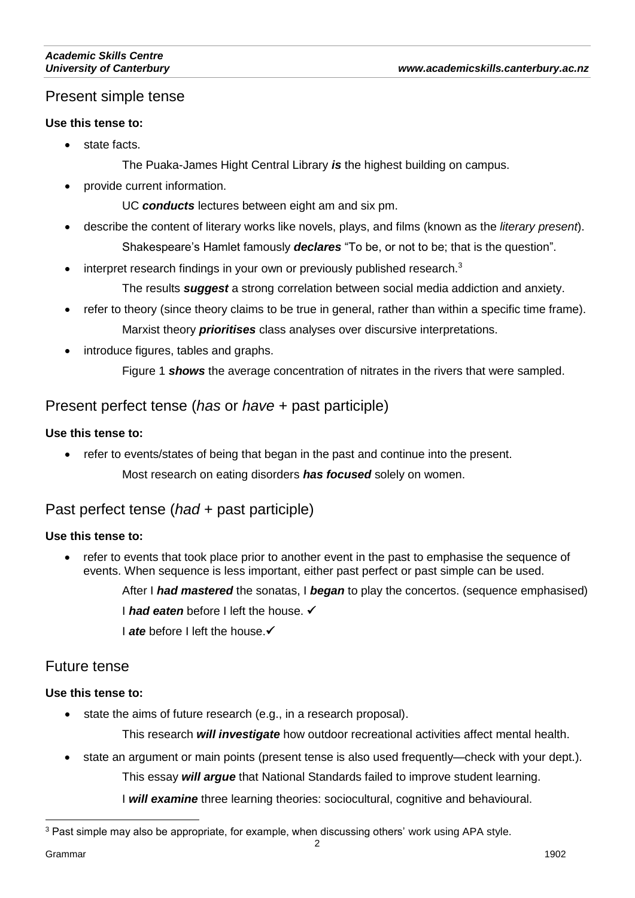# Present simple tense

#### **Use this tense to:**

- state facts.
	- The Puaka-James Hight Central Library *is* the highest building on campus.
- provide current information.

UC *conducts* lectures between eight am and six pm.

- describe the content of literary works like novels, plays, and films (known as the *literary present*). Shakespeare's Hamlet famously *declares* "To be, or not to be; that is the question".
- interpret research findings in your own or previously published research.<sup>3</sup>

The results *suggest* a strong correlation between social media addiction and anxiety.

- refer to theory (since theory claims to be true in general, rather than within a specific time frame). Marxist theory *prioritises* class analyses over discursive interpretations.
- introduce figures, tables and graphs.

Figure 1 *shows* the average concentration of nitrates in the rivers that were sampled.

### Present perfect tense (*has* or *have* + past participle)

#### **Use this tense to:**

• refer to events/states of being that began in the past and continue into the present. Most research on eating disorders *has focused* solely on women.

# Past perfect tense (*had* + past participle)

### **Use this tense to:**

 refer to events that took place prior to another event in the past to emphasise the sequence of events. When sequence is less important, either past perfect or past simple can be used.

After I *had mastered* the sonatas, I *began* to play the concertos. (sequence emphasised)

**I had eaten** before I left the house. ✔

**I** ate before I left the house. ✔

### Future tense

#### **Use this tense to:**

state the aims of future research (e.g., in a research proposal).

This research *will investigate* how outdoor recreational activities affect mental health.

state an argument or main points (present tense is also used frequently—check with your dept.).

This essay *will argue* that National Standards failed to improve student learning.

I *will examine* three learning theories: sociocultural, cognitive and behavioural.

 $\overline{a}$ 

<sup>3</sup> Past simple may also be appropriate, for example, when discussing others' work using APA style.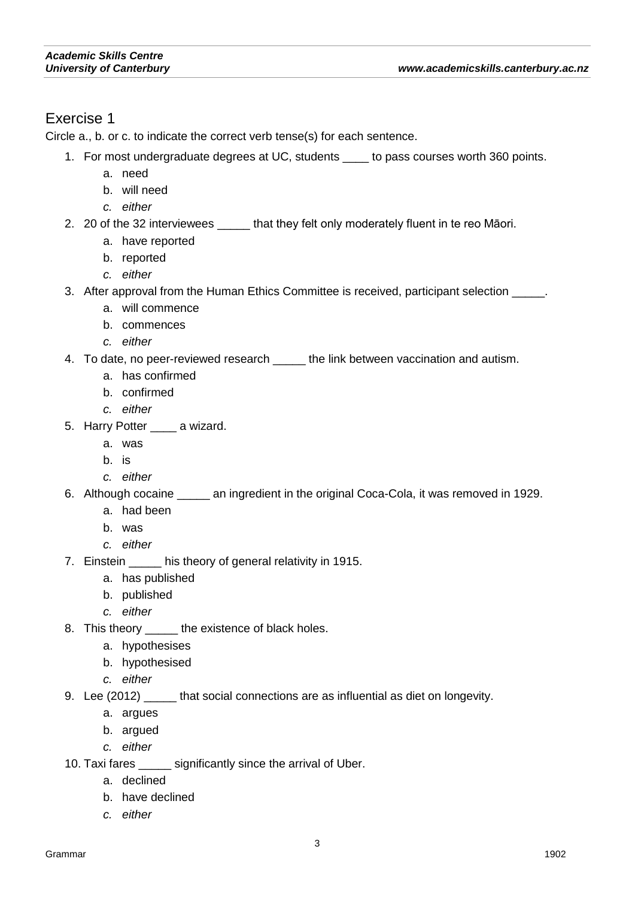## Exercise 1

Circle a., b. or c. to indicate the correct verb tense(s) for each sentence.

- 1. For most undergraduate degrees at UC, students \_\_\_\_ to pass courses worth 360 points.
	- a. need
	- b. will need
	- *c. either*
- 2. 20 of the 32 interviewees \_\_\_\_\_ that they felt only moderately fluent in te reo Māori.
	- a. have reported
	- b. reported
	- *c. either*
- 3. After approval from the Human Ethics Committee is received, participant selection \_\_\_\_\_.
	- a. will commence
	- b. commences
	- *c. either*
- 4. To date, no peer-reviewed research \_\_\_\_\_ the link between vaccination and autism.
	- a. has confirmed
	- b. confirmed
	- *c. either*
- 5. Harry Potter a wizard.
	- a. was
	- b. is
	- *c. either*
- 6. Although cocaine \_\_\_\_\_ an ingredient in the original Coca-Cola, it was removed in 1929.
	- a. had been
	- b. was
	- *c. either*
- 7. Einstein \_\_\_\_\_ his theory of general relativity in 1915.
	- a. has published
	- b. published
	- *c. either*
- 8. This theory \_\_\_\_\_ the existence of black holes.
	- a. hypothesises
	- b. hypothesised
	- *c. either*
- 9. Lee (2012) that social connections are as influential as diet on longevity.
	- a. argues
	- b. argued
	- *c. either*
- 10. Taxi fares \_\_\_\_\_ significantly since the arrival of Uber.
	- a. declined
	- b. have declined
	- *c. either*